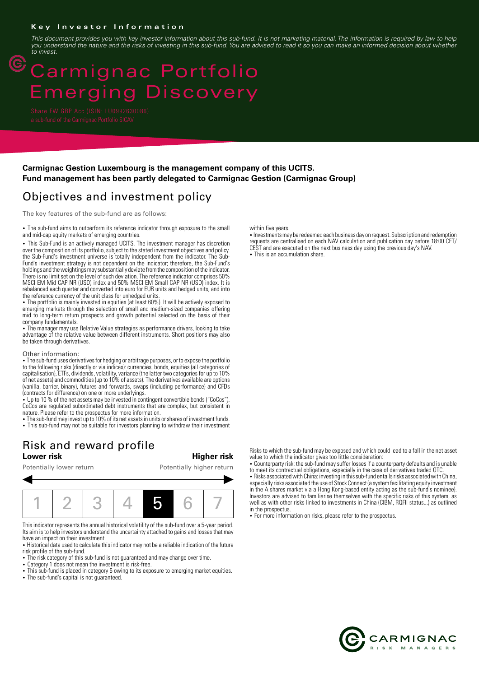#### **Key Investor Information**

*This document provides you with key investor information about this sub-fund. It is not marketing material. The information is required by law to help you understand the nature and the risks of investing in this sub-fund. You are advised to read it so you can make an informed decision about whether to invest.*

# Carmignac Portfolio merging Discovery

 $\circled{\mathbb{C}}$ 

### **Carmignac Gestion Luxembourg is the management company of this UCITS. Fund management has been partly delegated to Carmignac Gestion (Carmignac Group)**

## Objectives and investment policy

The key features of the sub-fund are as follows:

• The sub-fund aims to outperform its reference indicator through exposure to the small and mid-cap equity markets of emerging countries.

• This Sub-Fund is an actively managed UCITS. The investment manager has discretion over the composition of its portfolio, subject to the stated investment objectives and policy. the Sub-Fund's investment universe is totally independent from the indicator. The Sub-Fund's investment strategy is not dependent on the indicator; therefore, the Sub-Fund's holdings and the weightings may substantially deviate from the composition of the indicator. There is no limit set on the level of such deviation. The reference indicator comprises 50% MSCI EM Mid CAP NR (USD) index and 50% MSCI EM Small CAP NR (USD) index. It is rebalanced each quarter and converted into euro for EUR units and hedged units, and into the reference currency of the unit class for unhedged units.

• The portfolio is mainly invested in equities (at least 60%). It will be actively exposed to emerging markets through the selection of small and medium-sized companies offering mid to long-term return prospects and growth potential selected on the basis of their company fundamentals.

• The manager may use Relative Value strategies as performance drivers, looking to take advantage of the relative value between different instruments. Short positions may also be taken through derivatives.

#### Other information:

. The sub-fund uses derivatives for hedging or arbitrage purposes, or to expose the portfolio to the following risks (directly or via indices): currencies, bonds, equities (all categories of capitalisation), ETFs, dividends, volatility, variance (the latter two categories for up to 10% of net assets) and commodities (up to 10% of assets). The derivatives available are options (vanilla, barrier, binary), futures and forwards, swaps (including performance) and CFDs (contracts for difference) on one or more underlyings.

2 Up to 10 % of the net assets may be invested in contingent convertible bonds ("CoCos"). CoCos are regulated subordinated debt instruments that are complex, but consistent in nature. Please refer to the prospectus for more information.

• The sub-fund may invest up to 10% of its net assets in units or shares of investment funds.

• This sub-fund may not be suitable for investors planning to withdraw their investment

## Risk and reward profile

Potentially lower return Potentially higher return

### **Lower risk Higher risk**



This indicator represents the annual historical volatility of the sub-fund over a 5-year period. Its aim is to help investors understand the uncertainty attached to gains and losses that may have an impact on their investment.

• Historical data used to calculate this indicator may not be a reliable indication of the future risk profile of the sub-fund.

- The risk category of this sub-fund is not guaranteed and may change over time.
- Category 1 does not mean the investment is risk-free.
- This sub-fund is placed in category 5 owing to its exposure to emerging market equities. • The sub-fund's capital is not quaranteed.

within five years.

• Investments may be redeemed each business day on request. Subscription and redemption requests are centralised on each NAV calculation and publication day before 18:00 CET/ CEST and are executed on the next business day using the previous day's NAV.

• This is an accumulation share.

Risks to which the sub-fund may be exposed and which could lead to a fall in the net asset value to which the indicator gives too little consideration:

2 Counterparty risk: the sub-fund may suffer losses if a counterparty defaults and is unable to meet its contractual obligations, especially in the case of derivatives traded OTC.

2 Risks associated with China: investing in this sub-fund entails risks associated with China, especially risks associated the use of Stock Connect (a system facilitating equity investment in the A shares market via a Hong Kong-based entity acting as the sub-fund's nominee). Investors are advised to familiarise themselves with the specific risks of this system, as well as with other risks linked to investments in China (CIBM, RQFII status...) as outlined in the prospectus.

• For more information on risks, please refer to the prospectus.